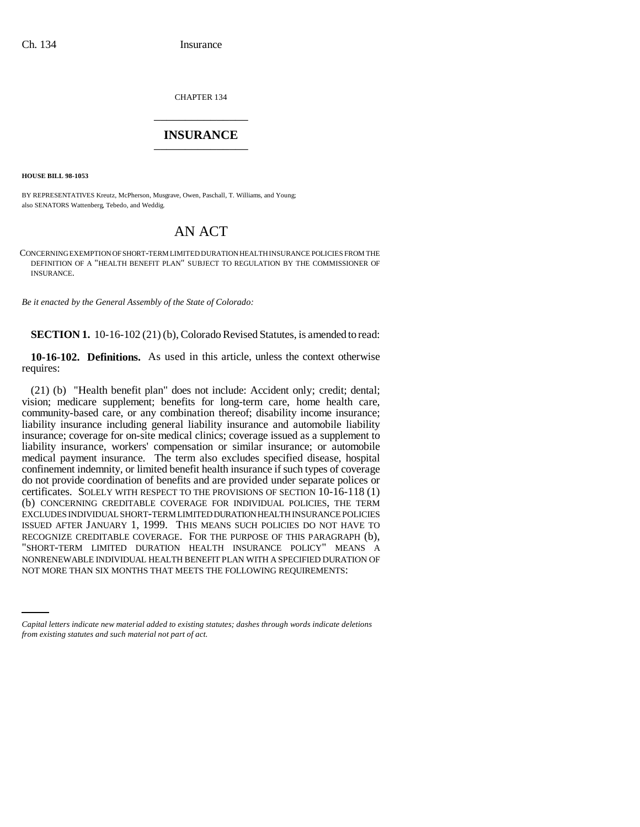CHAPTER 134 \_\_\_\_\_\_\_\_\_\_\_\_\_\_\_

## **INSURANCE** \_\_\_\_\_\_\_\_\_\_\_\_\_\_\_

**HOUSE BILL 98-1053**

BY REPRESENTATIVES Kreutz, McPherson, Musgrave, Owen, Paschall, T. Williams, and Young; also SENATORS Wattenberg, Tebedo, and Weddig.

## AN ACT

CONCERNING EXEMPTION OF SHORT-TERM LIMITED DURATION HEALTH INSURANCE POLICIES FROM THE DEFINITION OF A "HEALTH BENEFIT PLAN" SUBJECT TO REGULATION BY THE COMMISSIONER OF INSURANCE.

*Be it enacted by the General Assembly of the State of Colorado:*

**SECTION 1.** 10-16-102 (21) (b), Colorado Revised Statutes, is amended to read:

**10-16-102. Definitions.** As used in this article, unless the context otherwise requires:

NONRENEWABLE INDIVIDUAL HEALTH BENEFIT PLAN WITH A SPECIFIED DURATION OF (21) (b) "Health benefit plan" does not include: Accident only; credit; dental; vision; medicare supplement; benefits for long-term care, home health care, community-based care, or any combination thereof; disability income insurance; liability insurance including general liability insurance and automobile liability insurance; coverage for on-site medical clinics; coverage issued as a supplement to liability insurance, workers' compensation or similar insurance; or automobile medical payment insurance. The term also excludes specified disease, hospital confinement indemnity, or limited benefit health insurance if such types of coverage do not provide coordination of benefits and are provided under separate polices or certificates. SOLELY WITH RESPECT TO THE PROVISIONS OF SECTION 10-16-118 (1) (b) CONCERNING CREDITABLE COVERAGE FOR INDIVIDUAL POLICIES, THE TERM EXCLUDES INDIVIDUAL SHORT-TERM LIMITED DURATION HEALTH INSURANCE POLICIES ISSUED AFTER JANUARY 1, 1999. THIS MEANS SUCH POLICIES DO NOT HAVE TO RECOGNIZE CREDITABLE COVERAGE. FOR THE PURPOSE OF THIS PARAGRAPH (b), "SHORT-TERM LIMITED DURATION HEALTH INSURANCE POLICY" MEANS A NOT MORE THAN SIX MONTHS THAT MEETS THE FOLLOWING REQUIREMENTS:

*Capital letters indicate new material added to existing statutes; dashes through words indicate deletions from existing statutes and such material not part of act.*